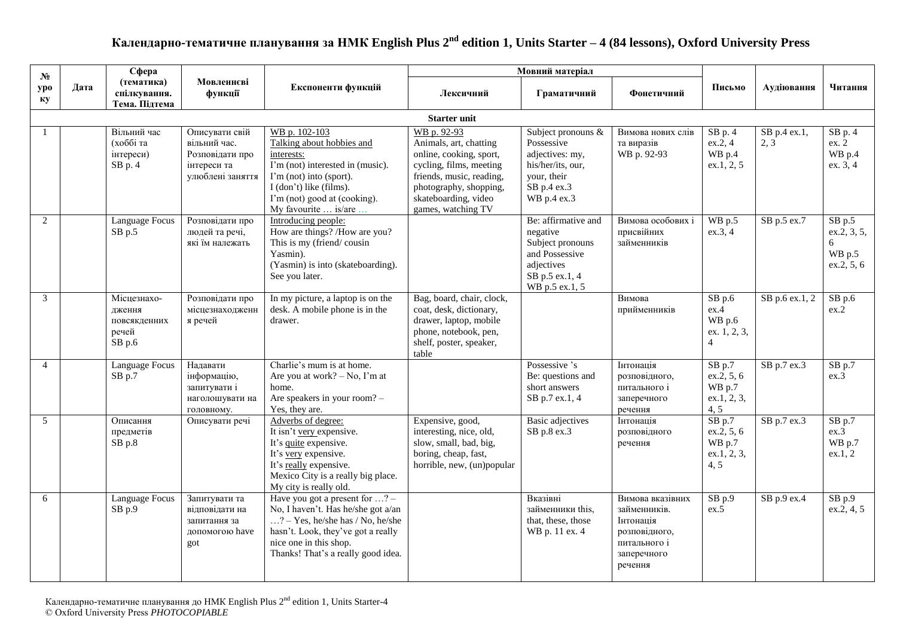## **Календарно-тематичне планування за НМК English Plus 2 nd edition 1, Units Starter – 4 (84 lessons), Oxford University Press**

| $N_2$          |      | Сфера                                                    |                                                                                      | Мовний матеріал                                                                                                                                                                                                                 |                                                                                                                                                                                                 |                                                                                                                         |                                                                                                          |                                                              |                      |                                                      |
|----------------|------|----------------------------------------------------------|--------------------------------------------------------------------------------------|---------------------------------------------------------------------------------------------------------------------------------------------------------------------------------------------------------------------------------|-------------------------------------------------------------------------------------------------------------------------------------------------------------------------------------------------|-------------------------------------------------------------------------------------------------------------------------|----------------------------------------------------------------------------------------------------------|--------------------------------------------------------------|----------------------|------------------------------------------------------|
| ypo<br>КV      | Дата | (тематика)<br>спілкування.<br>Тема. Підтема              | Мовленнєві<br>функції                                                                | Експоненти функцій                                                                                                                                                                                                              | Лексичний                                                                                                                                                                                       | Граматичний                                                                                                             | Фонетичний                                                                                               | Письмо                                                       | Аудіювання           | Читання                                              |
|                |      |                                                          |                                                                                      |                                                                                                                                                                                                                                 |                                                                                                                                                                                                 |                                                                                                                         |                                                                                                          |                                                              |                      |                                                      |
|                |      | Вільний час<br>(хоббі та<br>інтереси)<br>SB p. 4         | Описувати свій<br>вільний час.<br>Розповідати про<br>інтереси та<br>улюблені заняття | WB p. 102-103<br>Talking about hobbies and<br>interests:<br>I'm (not) interested in (music).<br>I'm (not) into (sport).<br>I (don't) like (films).<br>I'm (not) good at (cooking).<br>My favourite  is/are                      | WB p. 92-93<br>Animals, art, chatting<br>online, cooking, sport,<br>cycling, films, meeting<br>friends, music, reading,<br>photography, shopping,<br>skateboarding, video<br>games, watching TV | Subject pronouns &<br>Possessive<br>adjectives: my,<br>his/her/its, our,<br>your, their<br>SB p.4 ex.3<br>WB p.4 ex.3   | Вимова нових слів<br>та виразів<br>WB p. 92-93                                                           | $SB$ p. 4<br>ex.2, 4<br>WB p.4<br>ex.1, 2, 5                 | SB p.4 ex.1,<br>2, 3 | $SB$ p. 4<br>ex. 2<br>WB p.4<br>ex. 3, 4             |
| 2              |      | Language Focus<br>$SB$ p.5                               | Розповідати про<br>людей та речі,<br>які їм належать                                 | Introducing people:<br>How are things? /How are you?<br>This is my (friend/cousin<br>Yasmin).<br>(Yasmin) is into (skateboarding).<br>See you later.                                                                            |                                                                                                                                                                                                 | Be: affirmative and<br>negative<br>Subject pronouns<br>and Possessive<br>adjectives<br>SB p.5 ex.1, 4<br>WB p.5 ex.1, 5 | Вимова особових і<br>присвійних<br>займенників                                                           | WB p.5<br>ex.3, 4                                            | SB p.5 ex.7          | $SB$ p.5<br>ex.2, 3, 5,<br>6<br>WB p.5<br>ex.2, 5, 6 |
| 3              |      | Місцезнахо-<br>дження<br>повсякденних<br>речей<br>SB p.6 | Розповідати про<br>місцезнаходженн<br>я речей                                        | In my picture, a laptop is on the<br>desk. A mobile phone is in the<br>drawer.                                                                                                                                                  | Bag, board, chair, clock,<br>coat, desk, dictionary,<br>drawer, laptop, mobile<br>phone, notebook, pen,<br>shelf, poster, speaker,<br>table                                                     |                                                                                                                         | Вимова<br>прийменників                                                                                   | $SB$ p.6<br>ex.4<br>WB p.6<br>ex. 1, 2, 3,<br>$\overline{4}$ | SB p.6 ex.1, 2       | $SB$ p.6<br>ex.2                                     |
| $\overline{4}$ |      | Language Focus<br>SB p.7                                 | Налавати<br>інформацію,<br>запитувати і<br>наголошувати на<br>головному.             | Charlie's mum is at home.<br>Are you at work? $-$ No, I'm at<br>home.<br>Are speakers in your room? -<br>Yes, they are.                                                                                                         |                                                                                                                                                                                                 | Possessive 's<br>Be: questions and<br>short answers<br>SB p.7 ex.1, 4                                                   | Інтонація<br>розповідного,<br>питального і<br>заперечного<br>речення                                     | $SB$ p.7<br>ex.2, 5, 6<br>WB p.7<br>ex.1, 2, 3,<br>4, 5      | SB p.7 ex.3          | $SB$ p.7<br>ex.3                                     |
| 5              |      | Описання<br>предметів<br>SB p.8                          | Описувати речі                                                                       | Adverbs of degree:<br>It isn't very expensive.<br>It's quite expensive.<br>It's very expensive.<br>It's really expensive.<br>Mexico City is a really big place.<br>My city is really old.                                       | Expensive, good,<br>interesting, nice, old,<br>slow, small, bad, big,<br>boring, cheap, fast,<br>horrible, new, (un)popular                                                                     | <b>Basic</b> adjectives<br>SB p.8 ex.3                                                                                  | Інтонація<br>розповідного<br>речення                                                                     | $SB$ p.7<br>ex.2, 5, 6<br>WB p.7<br>ex.1, 2, 3,<br>4, 5      | SB p.7 ex.3          | $SB$ p.7<br>ex.3<br>WB p.7<br>ex.1, 2                |
| 6              |      | Language Focus<br>$SB$ p.9                               | Запитувати та<br>відповідати на<br>запитання за<br>допомогою have<br>got             | Have you got a present for $\dots$ ? -<br>No, I haven't. Has he/she got a/an<br>$\ldots$ ? – Yes, he/she has / No, he/she<br>hasn't. Look, they've got a really<br>nice one in this shop.<br>Thanks! That's a really good idea. |                                                                                                                                                                                                 | Вказівні<br>займенники this,<br>that, these, those<br>WB p. 11 ex. 4                                                    | Вимова вказівних<br>займенників.<br>Інтонація<br>розповідного,<br>питального і<br>заперечного<br>речення | SB p.9<br>ex.5                                               | SB p.9 ex.4          | $SB$ p.9<br>$ex.\overline{2}, 4, 5$                  |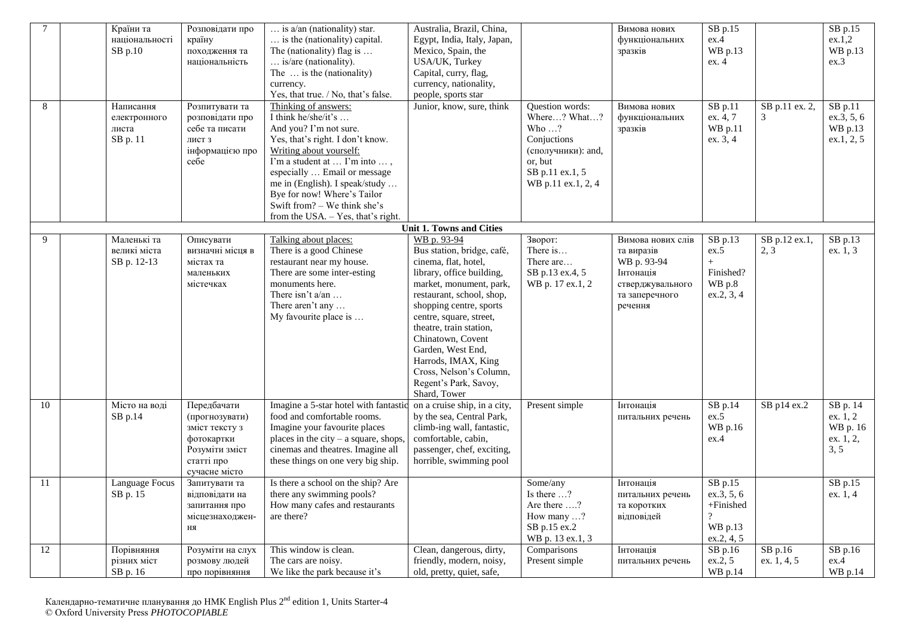| 8  | Країни та<br>національності<br>SB p.10<br>Написання<br>електронного | Розповідати про<br>країну<br>походження та<br>національність<br>Розпитувати та<br>розповідати про              | $\ldots$ is a/an (nationality) star.<br>is the (nationality) capital.<br>The (nationality) flag is<br>is/are (nationality).<br>The $\ldots$ is the (nationality)<br>currency.<br>Yes, that true. / No, that's false.<br>Thinking of answers:<br>I think he/she/it's                          | Australia, Brazil, China,<br>Egypt, India, Italy, Japan,<br>Mexico, Spain, the<br>USA/UK, Turkey<br>Capital, curry, flag,<br>currency, nationality,<br>people, sports star<br>Junior, know, sure, think                                                                                                                                                                      | Question words:<br>Where? What?                                                                         | Вимова нових<br>функціональних<br>зразків<br>Вимова нових<br>функціональних                                  | SB p.15<br>ex.4<br>WB p.13<br>ex. 4<br>SB p.11<br>ex. 4, 7                            | SB p.11 ex. 2,<br>3   | SB p.15<br>ex.1,2<br>WB p.13<br>ex.3<br>SB p.11<br>ex.3, 5, 6 |
|----|---------------------------------------------------------------------|----------------------------------------------------------------------------------------------------------------|----------------------------------------------------------------------------------------------------------------------------------------------------------------------------------------------------------------------------------------------------------------------------------------------|------------------------------------------------------------------------------------------------------------------------------------------------------------------------------------------------------------------------------------------------------------------------------------------------------------------------------------------------------------------------------|---------------------------------------------------------------------------------------------------------|--------------------------------------------------------------------------------------------------------------|---------------------------------------------------------------------------------------|-----------------------|---------------------------------------------------------------|
|    | листа<br>SB p. 11                                                   | себе та писати<br>лист з<br>інформацією про<br>себе                                                            | And you? I'm not sure.<br>Yes, that's right. I don't know.<br>Writing about yourself:<br>I'm a student at  I'm into ,<br>especially  Email or message<br>me in (English). I speak/study<br>Bye for now! Where's Tailor<br>Swift from? - We think she's<br>from the USA. - Yes, that's right. |                                                                                                                                                                                                                                                                                                                                                                              | Who $\ldots$ ?<br>Conjuctions<br>(сполучники): and,<br>or, but<br>SB p.11 ex.1, 5<br>WB p.11 ex.1, 2, 4 | зразків                                                                                                      | WB p.11<br>ex. 3, 4                                                                   |                       | WB p.13<br>ex.1, 2, 5                                         |
|    |                                                                     |                                                                                                                |                                                                                                                                                                                                                                                                                              | Unit 1. Towns and Cities                                                                                                                                                                                                                                                                                                                                                     |                                                                                                         |                                                                                                              |                                                                                       |                       |                                                               |
| 9  | Маленькі та<br>великі міста<br>SB p. 12-13                          | Описувати<br>визначні місця в<br>містах та<br>маленьких<br>містечках                                           | Talking about places:<br>There is a good Chinese<br>restaurant near my house.<br>There are some inter-esting<br>monuments here.<br>There isn't $a/an$<br>There aren't any<br>My favourite place is                                                                                           | WB p. 93-94<br>Bus station, bridge, café,<br>cinema, flat, hotel,<br>library, office building,<br>market, monument, park,<br>restaurant, school, shop,<br>shopping centre, sports<br>centre, square, street,<br>theatre, train station,<br>Chinatown, Covent<br>Garden, West End,<br>Harrods, IMAX, King<br>Cross, Nelson's Column,<br>Regent's Park, Savoy,<br>Shard, Tower | Зворот:<br>There is<br>There are<br>SB p.13 ex.4, 5<br>WB p. 17 ex.1, 2                                 | Вимова нових слів<br>та виразів<br>WB p. 93-94<br>Інтонація<br>стверджувального<br>та заперечного<br>речення | SB p.13<br>ex.5<br>$+$<br>Finished?<br>WB p.8<br>ex.2, 3, 4                           | SB p.12 ex.1,<br>2, 3 | SB p.13<br>ex. 1, 3                                           |
| 10 | Місто на воді<br>SB p.14                                            | Передбачати<br>(прогнозувати)<br>зміст тексту з<br>фотокартки<br>Розуміти зміст<br>статті про<br>сучасне місто | Imagine a 5-star hotel with fantastic<br>food and comfortable rooms.<br>Imagine your favourite places<br>places in the city $-$ a square, shops,<br>cinemas and theatres. Imagine all<br>these things on one very big ship.                                                                  | on a cruise ship, in a city,<br>by the sea, Central Park,<br>climb-ing wall, fantastic,<br>comfortable, cabin,<br>passenger, chef, exciting,<br>horrible, swimming pool                                                                                                                                                                                                      | Present simple                                                                                          | Інтонація<br>питальних речень                                                                                | SB p.14<br>ex.5<br>WB p.16<br>ex.4                                                    | SB p14 ex.2           | SB p. 14<br>ex. 1, 2<br>WB p. 16<br>ex. 1, 2,<br>3, 5         |
| 11 | Language Focus<br>SB p. 15                                          | Запитувати та<br>відповідати на<br>запитання про<br>місцезнаходжен-<br><b>HA</b>                               | Is there a school on the ship? Are<br>there any swimming pools?<br>How many cafes and restaurants<br>are there?                                                                                                                                                                              |                                                                                                                                                                                                                                                                                                                                                                              | Some/any<br>Is there ?<br>Are there ?<br>How many ?<br>SB p.15 ex.2<br>WB p. 13 ex.1, 3                 | Інтонація<br>питальних речень<br>та коротких<br>відповідей                                                   | SB p.15<br>$ex.\overline{3}, 5, 6$<br>$+F\!in\!$<br>$\gamma$<br>WB p.13<br>ex.2, 4, 5 |                       | SB p.15<br>ex. 1, 4                                           |
| 12 | Порівняння                                                          | Розуміти на слух                                                                                               | This window is clean.                                                                                                                                                                                                                                                                        | Clean, dangerous, dirty,<br>friendly, modern, noisy,                                                                                                                                                                                                                                                                                                                         | Comparisons                                                                                             | Інтонація                                                                                                    | SB p.16<br>ex.2, 5                                                                    | $SB$ p.16             | SB p.16                                                       |
|    | різних міст<br>SB p. 16                                             | розмову людей<br>про порівняння                                                                                | The cars are noisy.<br>We like the park because it's                                                                                                                                                                                                                                         | old, pretty, quiet, safe,                                                                                                                                                                                                                                                                                                                                                    | Present simple                                                                                          | питальних речень                                                                                             | WB p.14                                                                               | ex. 1, 4, 5           | ex.4<br>WB p.14                                               |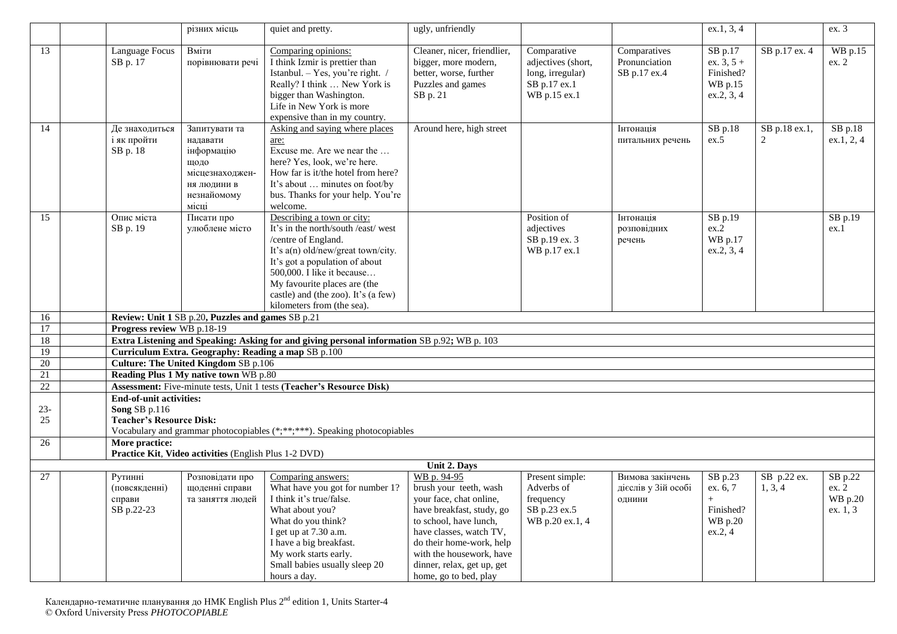| 13<br>14<br>15 | Language Focus<br>SB p. 17<br>Де знаходиться<br>і як пройти<br>SB p. 18 | Вміти<br>порівнювати речі<br>Запитувати та<br>надавати<br>інформацію<br>щодо<br>місцезнаходжен-<br>НЯ ЛЮДИНИ В<br>незнайомому | Comparing opinions:<br>I think Izmir is prettier than<br>Istanbul. - Yes, you're right. /<br>Really? I think  New York is<br>bigger than Washington.<br>Life in New York is more<br>expensive than in my country.<br>Asking and saying where places<br>are:<br>Excuse me. Are we near the<br>here? Yes, look, we're here. | Cleaner, nicer, friendlier,<br>bigger, more modern,<br>better, worse, further<br>Puzzles and games<br>SB p. 21<br>Around here, high street                                                                                                                        | Comparative<br>adjectives (short,<br>long, irregular)<br>SB p.17 ex.1<br>WB p.15 ex.1 | Comparatives<br>Pronunciation<br>SB p.17 ex.4<br>Інтонація | SB p.17<br>ex. $3, 5 +$<br>Finished?<br>WB p.15<br>ex.2, 3, 4<br>SB p.18 | SB p.17 ex. 4<br>SB p.18 ex.1, | WB p.15<br>ex. 2                        |
|----------------|-------------------------------------------------------------------------|-------------------------------------------------------------------------------------------------------------------------------|---------------------------------------------------------------------------------------------------------------------------------------------------------------------------------------------------------------------------------------------------------------------------------------------------------------------------|-------------------------------------------------------------------------------------------------------------------------------------------------------------------------------------------------------------------------------------------------------------------|---------------------------------------------------------------------------------------|------------------------------------------------------------|--------------------------------------------------------------------------|--------------------------------|-----------------------------------------|
|                |                                                                         |                                                                                                                               |                                                                                                                                                                                                                                                                                                                           |                                                                                                                                                                                                                                                                   |                                                                                       |                                                            |                                                                          |                                |                                         |
|                |                                                                         |                                                                                                                               |                                                                                                                                                                                                                                                                                                                           |                                                                                                                                                                                                                                                                   |                                                                                       |                                                            |                                                                          |                                |                                         |
|                |                                                                         | місці                                                                                                                         | How far is it/the hotel from here?<br>It's about  minutes on foot/by<br>bus. Thanks for your help. You're<br>welcome.                                                                                                                                                                                                     |                                                                                                                                                                                                                                                                   |                                                                                       | питальних речень                                           | ex.5                                                                     | 2                              | $SB$ p.18<br>ex.1, 2, 4                 |
|                | Опис міста<br>SB p. 19                                                  | Писати про<br>улюблене місто                                                                                                  | Describing a town or city:<br>It's in the north/south /east/ west<br>/centre of England.<br>It's a(n) old/new/great town/city.<br>It's got a population of about<br>500,000. I like it because<br>My favourite places are (the<br>castle) and (the zoo). It's (a few)<br>kilometers from (the sea).                       |                                                                                                                                                                                                                                                                   | Position of<br>adjectives<br>SB p.19 ex. 3<br>WB p.17 ex.1                            | Інтонація<br>розповідних<br>речень                         | SB p.19<br>ex.2<br>WB p.17<br>ex.2, 3, 4                                 |                                | SB p.19<br>ex.1                         |
| 16             |                                                                         | Review: Unit 1 SB p.20, Puzzles and games SB p.21                                                                             |                                                                                                                                                                                                                                                                                                                           |                                                                                                                                                                                                                                                                   |                                                                                       |                                                            |                                                                          |                                |                                         |
| 17             | Progress review WB p.18-19                                              |                                                                                                                               |                                                                                                                                                                                                                                                                                                                           |                                                                                                                                                                                                                                                                   |                                                                                       |                                                            |                                                                          |                                |                                         |
| 18             |                                                                         |                                                                                                                               | Extra Listening and Speaking: Asking for and giving personal information SB p.92; WB p. 103                                                                                                                                                                                                                               |                                                                                                                                                                                                                                                                   |                                                                                       |                                                            |                                                                          |                                |                                         |
| 19             |                                                                         | Curriculum Extra. Geography: Reading a map SB p.100                                                                           |                                                                                                                                                                                                                                                                                                                           |                                                                                                                                                                                                                                                                   |                                                                                       |                                                            |                                                                          |                                |                                         |
| 20             |                                                                         | <b>Culture: The United Kingdom SB p.106</b>                                                                                   |                                                                                                                                                                                                                                                                                                                           |                                                                                                                                                                                                                                                                   |                                                                                       |                                                            |                                                                          |                                |                                         |
| 21             |                                                                         | Reading Plus 1 My native town WB p.80                                                                                         |                                                                                                                                                                                                                                                                                                                           |                                                                                                                                                                                                                                                                   |                                                                                       |                                                            |                                                                          |                                |                                         |
| 22             |                                                                         |                                                                                                                               | Assessment: Five-minute tests, Unit 1 tests (Teacher's Resource Disk)                                                                                                                                                                                                                                                     |                                                                                                                                                                                                                                                                   |                                                                                       |                                                            |                                                                          |                                |                                         |
|                | <b>End-of-unit activities:</b>                                          |                                                                                                                               |                                                                                                                                                                                                                                                                                                                           |                                                                                                                                                                                                                                                                   |                                                                                       |                                                            |                                                                          |                                |                                         |
| $23 -$         | Song SB p.116                                                           |                                                                                                                               |                                                                                                                                                                                                                                                                                                                           |                                                                                                                                                                                                                                                                   |                                                                                       |                                                            |                                                                          |                                |                                         |
| 25             | <b>Teacher's Resource Disk:</b>                                         |                                                                                                                               |                                                                                                                                                                                                                                                                                                                           |                                                                                                                                                                                                                                                                   |                                                                                       |                                                            |                                                                          |                                |                                         |
|                |                                                                         |                                                                                                                               | Vocabulary and grammar photocopiables (*;**;***). Speaking photocopiables                                                                                                                                                                                                                                                 |                                                                                                                                                                                                                                                                   |                                                                                       |                                                            |                                                                          |                                |                                         |
| 26             | More practice:                                                          |                                                                                                                               |                                                                                                                                                                                                                                                                                                                           |                                                                                                                                                                                                                                                                   |                                                                                       |                                                            |                                                                          |                                |                                         |
|                |                                                                         | Practice Kit, Video activities (English Plus 1-2 DVD)                                                                         |                                                                                                                                                                                                                                                                                                                           |                                                                                                                                                                                                                                                                   |                                                                                       |                                                            |                                                                          |                                |                                         |
|                |                                                                         |                                                                                                                               |                                                                                                                                                                                                                                                                                                                           | Unit 2. Days                                                                                                                                                                                                                                                      |                                                                                       |                                                            |                                                                          |                                |                                         |
| 27             | Рутинні<br>(повсякденні)<br>справи<br>SB p.22-23                        | Розповідати про<br>щоденні справи<br>та заняття людей                                                                         | Comparing answers:<br>What have you got for number 1?<br>I think it's true/false.<br>What about you?<br>What do you think?<br>I get up at 7.30 a.m.<br>I have a big breakfast.<br>My work starts early.<br>Small babies usually sleep 20<br>hours a day.                                                                  | WB p. 94-95<br>brush your teeth, wash<br>your face, chat online,<br>have breakfast, study, go<br>to school, have lunch,<br>have classes, watch TV,<br>do their home-work, help<br>with the housework, have<br>dinner, relax, get up, get<br>home, go to bed, play | Present simple:<br>Adverbs of<br>frequency<br>SB p.23 ex.5<br>WB p.20 ex.1, 4         | Вимова закінчень<br>дієслів у Зій особі<br>ОДНИНИ          | SB p.23<br>ex. 6, 7<br>$+$<br>Finished?<br>WB p.20<br>ex.2, 4            | SB p.22 ex.<br>1, 3, 4         | SB p.22<br>ex. 2<br>WB p.20<br>ex. 1, 3 |

Календарно-тематичне планування до HMK English Plus 2<sup>nd</sup> edition 1, Units Starter-4 © Oxford University Press *PHOTOCOPIABLE*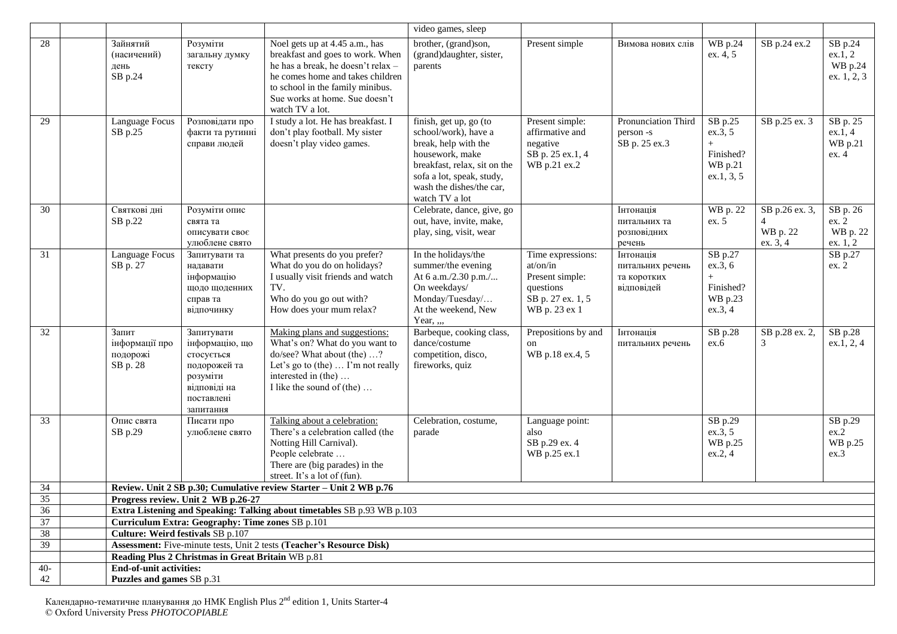|       |                                                             |                                                                                                                   |                                                                                                                                                                                                                                       | video games, sleep                                                                                                                                                                                   |                                                                                                     |                                                            |                                                                   |                                             |                                              |
|-------|-------------------------------------------------------------|-------------------------------------------------------------------------------------------------------------------|---------------------------------------------------------------------------------------------------------------------------------------------------------------------------------------------------------------------------------------|------------------------------------------------------------------------------------------------------------------------------------------------------------------------------------------------------|-----------------------------------------------------------------------------------------------------|------------------------------------------------------------|-------------------------------------------------------------------|---------------------------------------------|----------------------------------------------|
| 28    | Зайнятий<br>(насичений)<br>день<br>SB p.24                  | Розуміти<br>загальну думку<br>тексту                                                                              | Noel gets up at 4.45 a.m., has<br>breakfast and goes to work. When<br>he has a break, he doesn't relax -<br>he comes home and takes children<br>to school in the family minibus.<br>Sue works at home. Sue doesn't<br>watch TV a lot. | brother, (grand)son,<br>(grand)daughter, sister,<br>parents                                                                                                                                          | Present simple                                                                                      | Вимова нових слів                                          | WB p.24<br>ex. 4, 5                                               | SB p.24 ex.2                                | SB p.24<br>ex.1, 2<br>WB p.24<br>ex. 1, 2, 3 |
| 29    | Language Focus<br>SB p.25                                   | Розповідати про<br>факти та рутинні<br>справи людей                                                               | I study a lot. He has breakfast. I<br>don't play football. My sister<br>doesn't play video games.                                                                                                                                     | finish, get up, go (to<br>school/work), have a<br>break, help with the<br>housework, make<br>breakfast, relax, sit on the<br>sofa a lot, speak, study,<br>wash the dishes/the car,<br>watch TV a lot | Present simple:<br>affirmative and<br>negative<br>SB p. 25 ex.1, 4<br>WB p.21 ex.2                  | Pronunciation Third<br>person -s<br>SB p. 25 ex.3          | SB p.25<br>ex.3, 5<br>Finished?<br>WB p.21<br>ex.1, 3, 5          | SB p.25 ex. 3                               | SB p. 25<br>ex.1, 4<br>WB p.21<br>ex.4       |
| 30    | Святкові дні<br>SB p.22                                     | Розуміти опис<br>свята та<br>описувати своє<br>улюблене свято                                                     |                                                                                                                                                                                                                                       | Celebrate, dance, give, go<br>out, have, invite, make,<br>play, sing, visit, wear                                                                                                                    |                                                                                                     | Інтонація<br>питальних та<br>розповідних<br>речень         | WB p. 22<br>ex. 5                                                 | SB p.26 ex. 3,<br>4<br>WB p. 22<br>ex. 3, 4 | SB p. 26<br>ex. 2<br>WB p. 22<br>ex. 1, 2    |
| 31    | Language Focus<br>SB p. 27                                  | Запитувати та<br>надавати<br>інформацію<br>щодо щоденних<br>справ та<br>відпочинку                                | What presents do you prefer?<br>What do you do on holidays?<br>I usually visit friends and watch<br>TV.<br>Who do you go out with?<br>How does your mum relax?                                                                        | In the holidays/the<br>summer/the evening<br>At 6 a.m./2.30 p.m./<br>On weekdays/<br>Monday/Tuesday/<br>At the weekend, New<br>Year, ,,,                                                             | Time expressions:<br>at/on/in<br>Present simple:<br>questions<br>SB p. 27 ex. 1, 5<br>WB p. 23 ex 1 | Інтонація<br>питальних речень<br>та коротких<br>відповідей | SB $p.27$<br>ex.3, 6<br>$^{+}$<br>Finished?<br>WB p.23<br>ex.3, 4 |                                             | SB p.27<br>ex. 2                             |
| 32    | Запит<br>інформації про<br>подорожі<br>SB p. 28             | Запитувати<br>інформацію, що<br>стосується<br>подорожей та<br>розуміти<br>відповіді на<br>поставлені<br>запитання | Making plans and suggestions:<br>What's on? What do you want to<br>do/see? What about (the) ?<br>Let's go to (the) $\dots$ I'm not really<br>interested in (the)<br>I like the sound of (the)                                         | Barbeque, cooking class,<br>dance/costume<br>competition, disco,<br>fireworks, quiz                                                                                                                  | Prepositions by and<br>on<br>WB p.18 ex.4, 5                                                        | Інтонація<br>питальних речень                              | SB p.28<br>ex.6                                                   | SB p.28 ex. 2,<br>3                         | SB p.28<br>ex.1, 2, 4                        |
| 33    | Опис свята<br>SB p.29                                       | Писати про<br>улюблене свято                                                                                      | Talking about a celebration:<br>There's a celebration called (the<br>Notting Hill Carnival).<br>People celebrate<br>There are (big parades) in the<br>street. It's a lot of (fun).                                                    | Celebration, costume,<br>parade                                                                                                                                                                      | Language point:<br>also<br>SB p.29 ex. 4<br>WB p.25 ex.1                                            |                                                            | SB p.29<br>ex.3, 5<br>WB p.25<br>ex.2, 4                          |                                             | SB p.29<br>ex.2<br>WB p.25<br>ex.3           |
| 34    |                                                             |                                                                                                                   | Review. Unit 2 SB p.30; Cumulative review Starter - Unit 2 WB p.76                                                                                                                                                                    |                                                                                                                                                                                                      |                                                                                                     |                                                            |                                                                   |                                             |                                              |
| 35    |                                                             | Progress review. Unit 2 WB p.26-27                                                                                |                                                                                                                                                                                                                                       |                                                                                                                                                                                                      |                                                                                                     |                                                            |                                                                   |                                             |                                              |
| 36    |                                                             |                                                                                                                   | Extra Listening and Speaking: Talking about timetables SB p.93 WB p.103                                                                                                                                                               |                                                                                                                                                                                                      |                                                                                                     |                                                            |                                                                   |                                             |                                              |
| 37    |                                                             | Curriculum Extra: Geography: Time zones SB p.101                                                                  |                                                                                                                                                                                                                                       |                                                                                                                                                                                                      |                                                                                                     |                                                            |                                                                   |                                             |                                              |
| 38    | Culture: Weird festivals SB p.107                           |                                                                                                                   |                                                                                                                                                                                                                                       |                                                                                                                                                                                                      |                                                                                                     |                                                            |                                                                   |                                             |                                              |
| 39    |                                                             |                                                                                                                   | <b>Assessment:</b> Five-minute tests, Unit 2 tests (Teacher's Resource Disk)                                                                                                                                                          |                                                                                                                                                                                                      |                                                                                                     |                                                            |                                                                   |                                             |                                              |
|       |                                                             | Reading Plus 2 Christmas in Great Britain WB p.81                                                                 |                                                                                                                                                                                                                                       |                                                                                                                                                                                                      |                                                                                                     |                                                            |                                                                   |                                             |                                              |
| $40-$ | <b>End-of-unit activities:</b><br>Puzzles and games SB p.31 |                                                                                                                   |                                                                                                                                                                                                                                       |                                                                                                                                                                                                      |                                                                                                     |                                                            |                                                                   |                                             |                                              |
| 42    |                                                             |                                                                                                                   |                                                                                                                                                                                                                                       |                                                                                                                                                                                                      |                                                                                                     |                                                            |                                                                   |                                             |                                              |

Календарно-тематичне планування до HMK English Plus 2<sup>nd</sup> edition 1, Units Starter-4 © Oxford University Press *PHOTOCOPIABLE*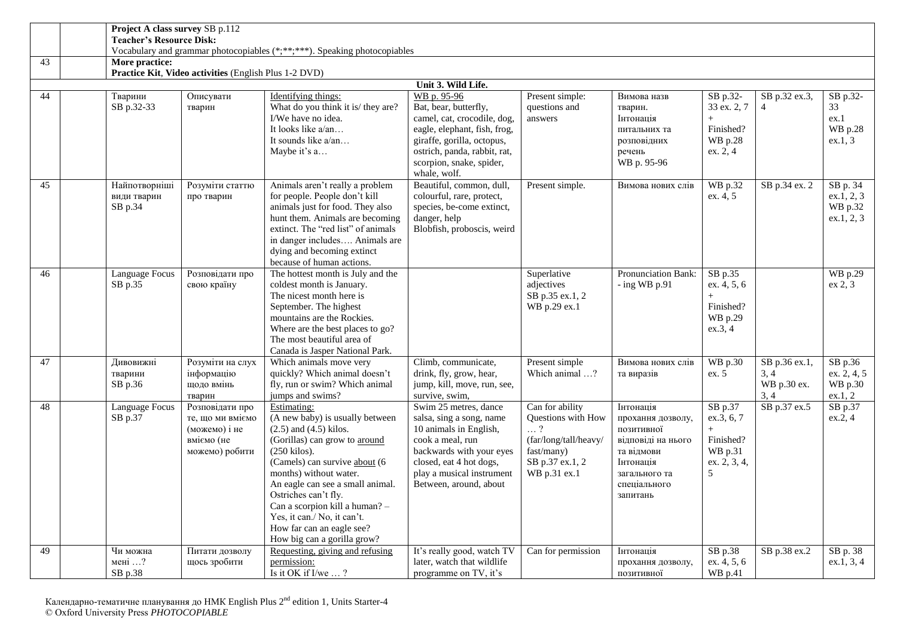|    | Project A class survey SB p.112         |                                                                                      |                                                                                                                                                                                                                                                                                                                                                                                     |                                                                                                                                                                                                               |                                                                                                                               |                                                                                                                                            |                                                                           |                                              |                                                 |  |  |  |
|----|-----------------------------------------|--------------------------------------------------------------------------------------|-------------------------------------------------------------------------------------------------------------------------------------------------------------------------------------------------------------------------------------------------------------------------------------------------------------------------------------------------------------------------------------|---------------------------------------------------------------------------------------------------------------------------------------------------------------------------------------------------------------|-------------------------------------------------------------------------------------------------------------------------------|--------------------------------------------------------------------------------------------------------------------------------------------|---------------------------------------------------------------------------|----------------------------------------------|-------------------------------------------------|--|--|--|
|    | <b>Teacher's Resource Disk:</b>         |                                                                                      | Vocabulary and grammar photocopiables (*;**;***). Speaking photocopiables                                                                                                                                                                                                                                                                                                           |                                                                                                                                                                                                               |                                                                                                                               |                                                                                                                                            |                                                                           |                                              |                                                 |  |  |  |
| 43 | More practice:                          |                                                                                      |                                                                                                                                                                                                                                                                                                                                                                                     |                                                                                                                                                                                                               |                                                                                                                               |                                                                                                                                            |                                                                           |                                              |                                                 |  |  |  |
|    |                                         | Practice Kit, Video activities (English Plus 1-2 DVD)                                |                                                                                                                                                                                                                                                                                                                                                                                     |                                                                                                                                                                                                               |                                                                                                                               |                                                                                                                                            |                                                                           |                                              |                                                 |  |  |  |
|    | Unit 3. Wild Life.                      |                                                                                      |                                                                                                                                                                                                                                                                                                                                                                                     |                                                                                                                                                                                                               |                                                                                                                               |                                                                                                                                            |                                                                           |                                              |                                                 |  |  |  |
| 44 | Тварини                                 | Описувати                                                                            | Identifying things:                                                                                                                                                                                                                                                                                                                                                                 | WB p. 95-96                                                                                                                                                                                                   | Present simple:                                                                                                               | Вимова назв                                                                                                                                | SB p.32-                                                                  | SB p.32 ex.3,                                | SB p.32-                                        |  |  |  |
|    | SB p.32-33                              | тварин                                                                               | What do you think it is/ they are?<br>I/We have no idea.<br>It looks like a/an<br>It sounds like a/an<br>Maybe it's a                                                                                                                                                                                                                                                               | Bat, bear, butterfly,<br>camel, cat, crocodile, dog,<br>eagle, elephant, fish, frog,<br>giraffe, gorilla, octopus,<br>ostrich, panda, rabbit, rat,<br>scorpion, snake, spider,                                | questions and<br>answers                                                                                                      | тварин.<br>Інтонація<br>питальних та<br>розповідних<br>речень<br>WB p. 95-96                                                               | 33 ex. 2, 7<br>Finished?<br>WB p.28<br>ex. 2, 4                           | $\overline{4}$                               | 33<br>ex.1<br>WB p.28<br>ex.1, 3                |  |  |  |
|    |                                         |                                                                                      |                                                                                                                                                                                                                                                                                                                                                                                     | whale, wolf.                                                                                                                                                                                                  |                                                                                                                               |                                                                                                                                            |                                                                           |                                              |                                                 |  |  |  |
| 45 | Найпотворніші<br>види тварин<br>SB p.34 | Розуміти статтю<br>про тварин                                                        | Animals aren't really a problem<br>for people. People don't kill<br>animals just for food. They also<br>hunt them. Animals are becoming<br>extinct. The "red list" of animals<br>in danger includes Animals are<br>dying and becoming extinct<br>because of human actions.                                                                                                          | Beautiful, common, dull,<br>colourful, rare, protect,<br>species, be-come extinct,<br>danger, help<br>Blobfish, proboscis, weird                                                                              | Present simple.                                                                                                               | Вимова нових слів                                                                                                                          | WB p.32<br>ex. 4, 5                                                       | SB p.34 ex. 2                                | SB p. 34<br>ex.1, 2, 3<br>WB p.32<br>ex.1, 2, 3 |  |  |  |
| 46 | Language Focus<br>SB p.35               | Розповідати про<br>свою країну                                                       | The hottest month is July and the<br>coldest month is January.<br>The nicest month here is<br>September. The highest<br>mountains are the Rockies.<br>Where are the best places to go?<br>The most beautiful area of<br>Canada is Jasper National Park.                                                                                                                             |                                                                                                                                                                                                               | Superlative<br>adjectives<br>SB p.35 ex.1, 2<br>WB p.29 ex.1                                                                  | Pronunciation Bank:<br>$-$ ing WB p.91                                                                                                     | SB p.35<br>ex. 4, 5, 6<br>Finished?<br>WB p.29<br>ex.3, 4                 |                                              | <b>WB</b> p.29<br>ex 2, 3                       |  |  |  |
| 47 | Дивовижні<br>тварини<br>SB p.36         | Розуміти на слух<br>інформацію<br>щодо вмінь<br>тварин                               | Which animals move very<br>quickly? Which animal doesn't<br>fly, run or swim? Which animal<br>jumps and swims?                                                                                                                                                                                                                                                                      | Climb, communicate,<br>drink, fly, grow, hear,<br>jump, kill, move, run, see,<br>survive, swim,                                                                                                               | Present simple<br>Which animal ?                                                                                              | Вимова нових слів<br>та виразів                                                                                                            | WB p.30<br>ex. 5                                                          | SB p.36 ex.1,<br>3, 4<br>WB p.30 ex.<br>3, 4 | SB p.36<br>ex. 2, 4, 5<br>WB p.30<br>ex.1, 2    |  |  |  |
| 48 | Language Focus<br>SB p.37               | Розповідати про<br>те, що ми вміємо<br>(можемо) і не<br>вміємо (не<br>можемо) робити | Estimating:<br>(A new baby) is usually between<br>$(2.5)$ and $(4.5)$ kilos.<br>(Gorillas) can grow to around<br>$(250$ kilos).<br>(Camels) can survive about (6<br>months) without water.<br>An eagle can see a small animal.<br>Ostriches can't fly.<br>Can a scorpion kill a human? -<br>Yes, it can./ No, it can't.<br>How far can an eagle see?<br>How big can a gorilla grow? | Swim 25 metres, dance<br>salsa, sing a song, name<br>10 animals in English,<br>cook a meal, run<br>backwards with your eyes<br>closed, eat 4 hot dogs,<br>play a musical instrument<br>Between, around, about | Can for ability<br>Questions with How<br>$\ldots$ ?<br>(far/long/tall/heavy/<br>fast/many)<br>SB p.37 ex.1, 2<br>WB p.31 ex.1 | Інтонація<br>прохання дозволу,<br>позитивної<br>відповіді на нього<br>та відмови<br>Інтонація<br>загального та<br>спеціального<br>запитань | SB p.37<br>ex.3, 6, 7<br>$+$<br>Finished?<br>WB p.31<br>ex. 2, 3, 4,<br>5 | SB p.37 ex.5                                 | SB p.37<br>ex.2, 4                              |  |  |  |
| 49 | Чи можна                                | Питати дозволу                                                                       | Requesting, giving and refusing                                                                                                                                                                                                                                                                                                                                                     | It's really good, watch TV                                                                                                                                                                                    | Can for permission                                                                                                            | Інтонація                                                                                                                                  | SB p.38                                                                   | SB p.38 ex.2                                 | SB p. 38                                        |  |  |  |
|    | мені $\ldots$ ?<br>SB p.38              | щось зробити                                                                         | permission:<br>Is it OK if I/we $\ldots$ ?                                                                                                                                                                                                                                                                                                                                          | later, watch that wildlife<br>programme on TV, it's                                                                                                                                                           |                                                                                                                               | прохання дозволу,<br>позитивної                                                                                                            | ex. 4, 5, 6<br>WB p.41                                                    |                                              | ex.1, 3, 4                                      |  |  |  |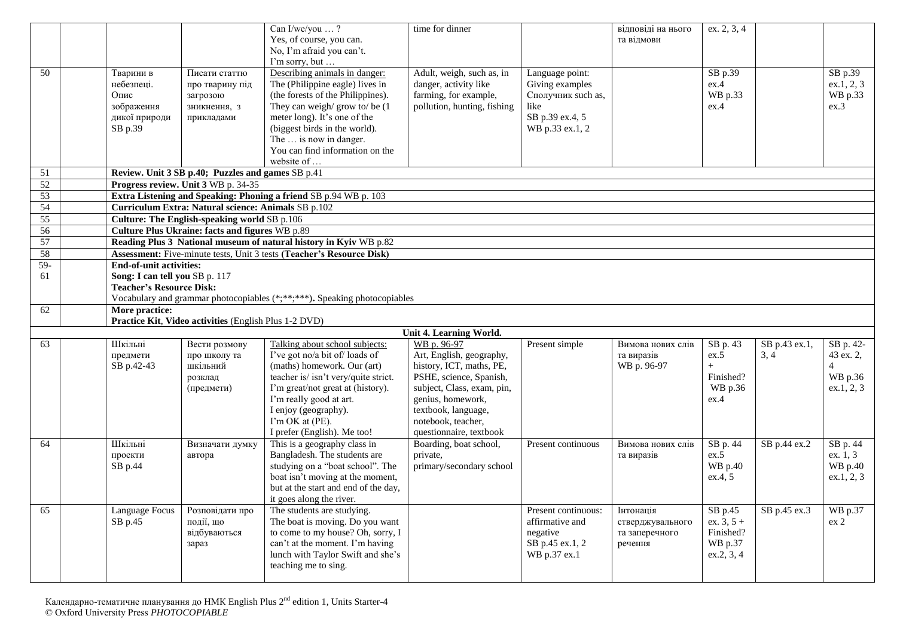|          |      |                                                                   |                                                                                                     | Can I/we/you ?<br>Yes, of course, you can.<br>No, I'm afraid you can't.<br>I'm sorry, but                                                                                                                                                                                                | time for dinner                                                                                                                                                                                            |                                                                                                        | відповіді на нього<br>та відмови               | ex. 2, 3, 4                                      |                       |                                                                   |
|----------|------|-------------------------------------------------------------------|-----------------------------------------------------------------------------------------------------|------------------------------------------------------------------------------------------------------------------------------------------------------------------------------------------------------------------------------------------------------------------------------------------|------------------------------------------------------------------------------------------------------------------------------------------------------------------------------------------------------------|--------------------------------------------------------------------------------------------------------|------------------------------------------------|--------------------------------------------------|-----------------------|-------------------------------------------------------------------|
| 50       | Опис | Тварини в<br>небезпеці.<br>зображення<br>дикої природи<br>SB p.39 | Писати статтю<br>про тварину під<br>загрозою<br>зникнення, з<br>прикладами                          | Describing animals in danger:<br>The (Philippine eagle) lives in<br>(the forests of the Philippines).<br>They can weigh/grow to/be (1<br>meter long). It's one of the<br>(biggest birds in the world).<br>The  is now in danger.<br>You can find information on the<br>website of        | Adult, weigh, such as, in<br>danger, activity like<br>farming, for example,<br>pollution, hunting, fishing                                                                                                 | Language point:<br>Giving examples<br>Сполучник such as,<br>like<br>SB p.39 ex.4, 5<br>WB p.33 ex.1, 2 |                                                | SB p.39<br>ex.4<br>WB p.33<br>ex.4               |                       | SB p.39<br>ex.1, 2, 3<br>WB p.33<br>ex.3                          |
| 51       |      |                                                                   | Review. Unit 3 SB p.40; Puzzles and games SB p.41                                                   |                                                                                                                                                                                                                                                                                          |                                                                                                                                                                                                            |                                                                                                        |                                                |                                                  |                       |                                                                   |
| 52       |      |                                                                   | Progress review. Unit 3 WB p. 34-35                                                                 |                                                                                                                                                                                                                                                                                          |                                                                                                                                                                                                            |                                                                                                        |                                                |                                                  |                       |                                                                   |
| 53       |      |                                                                   |                                                                                                     | Extra Listening and Speaking: Phoning a friend SB p.94 WB p. 103                                                                                                                                                                                                                         |                                                                                                                                                                                                            |                                                                                                        |                                                |                                                  |                       |                                                                   |
| 54<br>55 |      |                                                                   | Curriculum Extra: Natural science: Animals SB p.102<br>Culture: The English-speaking world SB p.106 |                                                                                                                                                                                                                                                                                          |                                                                                                                                                                                                            |                                                                                                        |                                                |                                                  |                       |                                                                   |
| 56       |      |                                                                   | Culture Plus Ukraine: facts and figures WB p.89                                                     |                                                                                                                                                                                                                                                                                          |                                                                                                                                                                                                            |                                                                                                        |                                                |                                                  |                       |                                                                   |
| 57       |      |                                                                   |                                                                                                     | Reading Plus 3 National museum of natural history in Kyiv WB p.82                                                                                                                                                                                                                        |                                                                                                                                                                                                            |                                                                                                        |                                                |                                                  |                       |                                                                   |
| 58       |      |                                                                   |                                                                                                     | Assessment: Five-minute tests, Unit 3 tests (Teacher's Resource Disk)                                                                                                                                                                                                                    |                                                                                                                                                                                                            |                                                                                                        |                                                |                                                  |                       |                                                                   |
| $59-$    |      | <b>End-of-unit activities:</b>                                    |                                                                                                     |                                                                                                                                                                                                                                                                                          |                                                                                                                                                                                                            |                                                                                                        |                                                |                                                  |                       |                                                                   |
| 61       |      | Song: I can tell you SB p. 117<br><b>Teacher's Resource Disk:</b> |                                                                                                     | Vocabulary and grammar photocopiables (*;**;***). Speaking photocopiables                                                                                                                                                                                                                |                                                                                                                                                                                                            |                                                                                                        |                                                |                                                  |                       |                                                                   |
| 62       |      | More practice:                                                    | Practice Kit, Video activities (English Plus 1-2 DVD)                                               |                                                                                                                                                                                                                                                                                          |                                                                                                                                                                                                            |                                                                                                        |                                                |                                                  |                       |                                                                   |
|          |      |                                                                   |                                                                                                     |                                                                                                                                                                                                                                                                                          | Unit 4. Learning World.<br>WB p. 96-97                                                                                                                                                                     |                                                                                                        |                                                |                                                  |                       |                                                                   |
| 63       |      | Шкільні<br>предмети<br>SB p.42-43                                 | Вести розмову<br>про школу та<br>шкільний<br>розклад<br>(предмети)                                  | Talking about school subjects:<br>I've got no/a bit of/ loads of<br>(maths) homework. Our (art)<br>teacher is/ isn't very/quite strict.<br>I'm great/not great at (history).<br>I'm really good at art.<br>I enjoy (geography).<br>$\Gamma$ m OK at (PE).<br>I prefer (English). Me too! | Art, English, geography,<br>history, ICT, maths, PE,<br>PSHE, science, Spanish,<br>subject, Class, exam, pin,<br>genius, homework,<br>textbook, language,<br>notebook, teacher,<br>questionnaire, textbook | Present simple                                                                                         | Вимова нових слів<br>та виразів<br>WB p. 96-97 | SB p. 43<br>ex.5<br>Finished?<br>WB p.36<br>ex.4 | SB p.43 ex.1,<br>3, 4 | SB p. 42-<br>43 ex. 2,<br>$\overline{4}$<br>WB p.36<br>ex.1, 2, 3 |
| 64       |      | Шкільні<br>проекти<br>SB p.44                                     | Визначати думку<br>автора                                                                           | This is a geography class in<br>Bangladesh. The students are<br>studying on a "boat school". The                                                                                                                                                                                         | Boarding, boat school,<br>private,<br>primary/secondary school                                                                                                                                             | Present continuous                                                                                     | Вимова нових слів<br>та виразів                | SB p. 44<br>ex.5<br>WB p.40                      | SB p.44 ex.2          | SB p. 44<br>ex. 1.3<br>WB p.40                                    |
|          |      | <b>Language Focus</b>                                             | Розповідати про                                                                                     | boat isn't moving at the moment,<br>but at the start and end of the day,<br>it goes along the river.<br>The students are studying.                                                                                                                                                       |                                                                                                                                                                                                            |                                                                                                        |                                                | ex.4, 5<br>SB p.45                               | SB p.45 ex.3          | ex.1, 2, 3<br>WB p.37                                             |